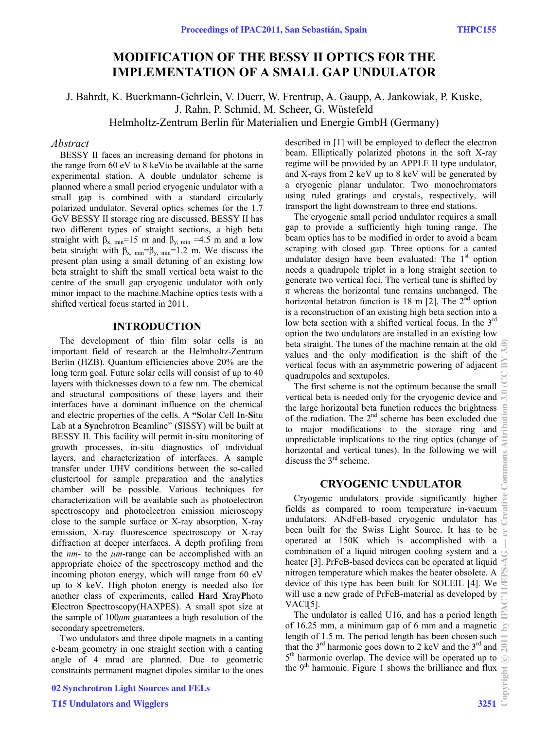# **MODIFICATION OF THE BESSY II OPTICS FOR THE IMPLEMENTATION OF A SMALL GAP UNDULATOR**

J. Bahrdt, K. Buerkmann-Gehrlein, V. Duerr, W. Frentrup, A. Gaupp, A. Jankowiak, P. Kuske, J. Rahn, P. Schmid, M. Scheer, G. Wüstefeld Helmholtz-Zentrum Berlin für Materialien und Energie GmbH (Germany)

#### *Abstract*

BESSY II faces an increasing demand for photons in the range from 60 eV to 8 keVto be available at the same experimental station. A double undulator scheme is planned where a small period cryogenic undulator with a small gap is combined with a standard circularly polarized undulator. Several optics schemes for the 1.7 GeV BESSY II storage ring are discussed. BESSY II has two different types of straight sections, a high beta straight with  $\beta_{x, min}$ =15 m and  $\beta_{y, min}$  =4.5 m and a low beta straight with  $\beta_{x, min} = \beta_{y, min} = 1.2$  m. We discuss the present plan using a small detuning of an existing low beta straight to shift the small vertical beta waist to the centre of the small gap cryogenic undulator with only minor impact to the machine.Machine optics tests with a shifted vertical focus started in 2011.

### **INTRODUCTION**

The development of thin film solar cells is an important field of research at the Helmholtz-Zentrum Berlin (HZB). Quantum efficiencies above 20% are the long term goal. Future solar cells will consist of up to 40 layers with thicknesses down to a few nm. The chemical and structural compositions of these layers and their interfaces have a dominant influence on the chemical and electric properties of the cells. A **"S**olar Cell **I**n-**S**itu Lab at a **Sy**nchrotron Beamline" (SISSY) will be built at BESSY II. This facility will permit in-situ monitoring of growth processes, in-situ diagnostics of individual layers, and characterization of interfaces. A sample transfer under UHV conditions between the so-called clustertool for sample preparation and the analytics chamber will be possible. Various techniques for characterization will be available such as photoelectron spectroscopy and photoelectron emission microscopy close to the sample surface or X-ray absorption, X-ray emission, X-ray fluorescence spectroscopy or X-ray diffraction at deeper interfaces. A depth profiling from the *nm*- to the *μm*-range can be accomplished with an appropriate choice of the spectroscopy method and the incoming photon energy, which will range from 60 eV up to 8 keV. High photon energy is needed also for another class of experiments, called **Ha**rd **X**ray**P**hoto **E**lectron **S**pectroscopy(HAXPES). A small spot size at the sample of 100*μm* guarantees a high resolution of the secondary spectrometers.

Two undulators and three dipole magnets in a canting e-beam geometry in one straight section with a canting angle of 4 mrad are planned. Due to geometric constraints permanent magnet dipoles similar to the ones

02 Synchrotron Light Sources and FELs

described in [1] will be employed to deflect the electron beam. Elliptically polarized photons in the soft X-ray regime will be provided by an APPLE II type undulator, and X-rays from 2 keV up to 8 keV will be generated by a cryogenic planar undulator. Two monochromators using ruled gratings and crystals, respectively, will transport the light downstream to three end stations.

The cryogenic small period undulator requires a small gap to provide a sufficiently high tuning range. The beam optics has to be modified in order to avoid a beam scraping with closed gap. Three options for a canted undulator design have been evaluated: The  $1<sup>st</sup>$  option needs a quadrupole triplet in a long straight section to generate two vertical foci. The vertical tune is shifted by  $\pi$  whereas the horizontal tune remains unchanged. The horizontal betatron function is 18 m [2]. The  $2<sup>nd</sup>$  option is a reconstruction of an existing high beta section into a low beta section with a shifted vertical focus. In the 3<sup>rd</sup> option the two undulators are installed in an existing low beta straight. The tunes of the machine remain at the old  $\widehat{\leq}$ values and the only modification is the shift of the vertical focus with an asymmetric powering of adjacent  $\approx$ quadrupoles and sextupoles.

The first scheme is not the optimum because the small vertical beta is needed only for the cryogenic device and the large horizontal beta function reduces the brightness of the radiation. The  $2<sup>nd</sup>$  scheme has been excluded due to major modifications to the storage ring and unpredictable implications to the ring optics (change of horizontal and vertical tunes). In the following we will discuss the  $3<sup>rd</sup>$  scheme.

## **CRYOGENIC UNDULATOR**

Cryogenic undulators provide significantly higher fields as compared to room temperature in-vacuum undulators. ANdFeB-based cryogenic undulator has been built for the Swiss Light Source. It has to be operated at 150K which is accomplished with a combination of a liquid nitrogen cooling system and a heater [3]. PrFeB-based devices can be operated at liquid nitrogen temperature which makes the heater obsolete. A device of this type has been built for SOLEIL [4]. We will use a new grade of PrFeB-material as developed by  $VAC[5]$ .

The undulator is called U16, and has a period length  $\triangle$ of 16.25 mm, a minimum gap of 6 mm and a magnetic  $\geq$ length of 1.5 m. The period length has been chosen such that the 3<sup>rd</sup> harmonic goes down to 2 keV and the 3<sup>rd</sup> and  $\sum_{n=1}^{\infty}$  $5<sup>th</sup>$  harmonic overlap. The device will be operated up to  $\odot$ the 9<sup>th</sup> harmonic. Figure 1 shows the brilliance and flux  $\frac{1}{2}$ <br>3251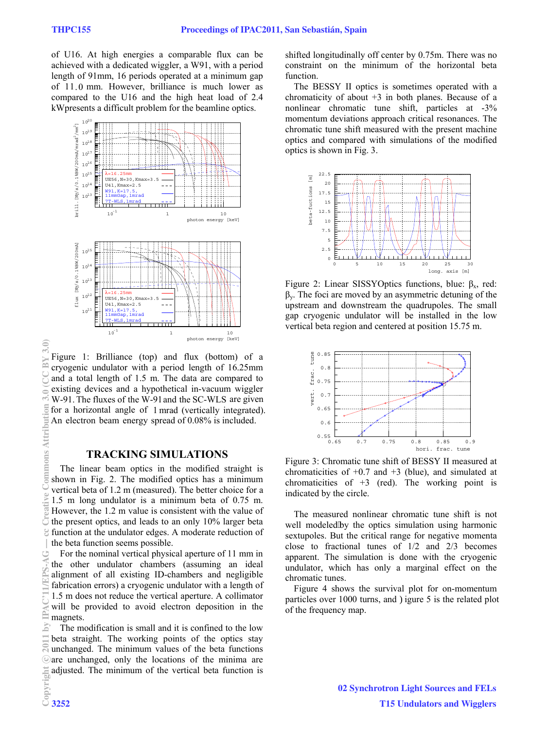of U16. At high energies a comparable flux can be achieved with a dedicated wiggler, a W91, with a period length of 91mm, 16 periods operated at a minimum gap of 11.0 mm. However, brilliance is much lower as compared to the U16 and the high heat load of 2.4 kWpresents a difficult problem for the beamline optics.



Figure 1: Brilliance (top) and flux (bottom) of a cryogenic undulator with a period length of 16.25mm and a total length of 1.5 m. The data are compared to existing devices and a hypothetical in-vacuum wiggler W-91. The fluxes of the W-91 and the SC-WLS are given for a horizontal angle of 1 mrad (vertically integrated).  $\frac{1}{2}$ An electron beam energy spread of 0.08% is included.

#### **TRACKING SIMULATIONS**

The linear beam optics in the modified straight is shown in Fig. 2. The modified optics has a minimum vertical beta of 1.2 m (measured). The better choice for a 1.5 m long undulator is a minimum beta of 0.75 m. However, the 1.2 m value is consistent with the value of the present optics, and leads to an only 10% larger beta function at the undulator edges. A moderate reduction of the beta function seems possible.

For the nominal vertical physical aperture of 11 mm in the other undulator chambers (assuming an ideal alignment of all existing ID-chambers and negligible fabrication errors) a cryogenic undulator with a length of 1.5 m does not reduce the vertical aperture. A collimator will be provided to avoid electron deposition in the magnets.

The modification is small and it is confined to the low beta straight. The working points of the optics stay unchanged. The minimum values of the beta functions are unchanged, only the locations of the minima are adjusted. The minimum of the vertical beta function is shifted longitudinally off center by 0.75m. There was no constraint on the minimum of the horizontal beta function.

The BESSY II optics is sometimes operated with a chromaticity of about  $+3$  in both planes. Because of a nonlinear chromatic tune shift, particles at -3% momentum deviations approach critical resonances. The chromatic tune shift measured with the present machine optics and compared with simulations of the modified optics is shown in Fig. 3.



Figure 2: Linear SISSYOptics functions, blue:  $β<sub>x</sub>$ , red:  $β<sub>y</sub>$ . The foci are moved by an asymmetric detuning of the upstream and downstream the quadrupoles. The small gap cryogenic undulator will be installed in the low vertical beta region and centered at position 15.75 m.



Figure 3: Chromatic tune shift of BESSY II measured at chromaticities of  $+0.7$  and  $+3$  (blue), and simulated at chromaticities of  $+3$  (red). The working point is indicated by the circle.

The measured nonlinear chromatic tune shift is not well modeled'by the optics simulation using harmonic sextupoles. But the critical range for negative momenta close to fractional tunes of 1/2 and 2/3 becomes apparent. The simulation is done with the cryogenic undulator, which has only a marginal effect on the chromatic tunes.

Figure 4 shows the survival plot for on-momentum particles over 1000 turns, and Higure 5 is the related plot of the frequency map.